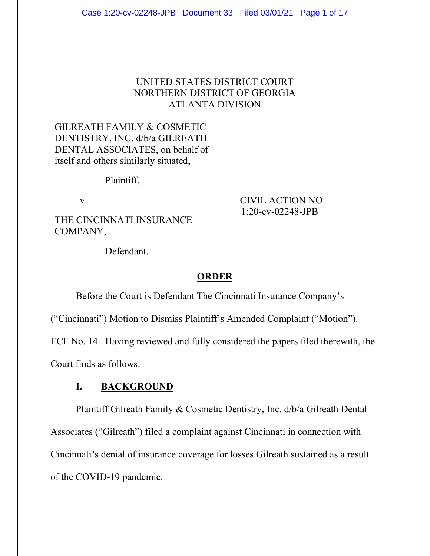## UNITED STATES DISTRICT COURT NORTHERN DISTRICT OF GEORGIA ATLANTA DIVISION

GILREATH FAMILY & COSMETIC DENTISTRY, INC. d/b/a GILREATH DENTAL ASSOCIATES, on behalf of itself and others similarly situated,

Plaintiff,

THE CINCINNATI INSURANCE COMPANY,

v. CIVIL ACTION NO. 1:20-cv-02248-JPB

Defendant.

## **ORDER**

Before the Court is Defendant The Cincinnati Insurance Company's

("Cincinnati") Motion to Dismiss Plaintiff's Amended Complaint ("Motion").

ECF No. 14. Having reviewed and fully considered the papers filed therewith, the

Court finds as follows:

## **I. BACKGROUND**

Plaintiff Gilreath Family & Cosmetic Dentistry, Inc. d/b/a Gilreath Dental Associates ("Gilreath") filed a complaint against Cincinnati in connection with Cincinnati's denial of insurance coverage for losses Gilreath sustained as a result of the COVID-19 pandemic.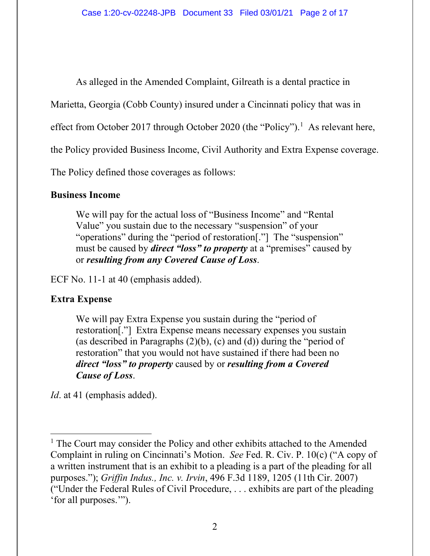As alleged in the Amended Complaint, Gilreath is a dental practice in

Marietta, Georgia (Cobb County) insured under a Cincinnati policy that was in

effect from October 2017 through October 2020 (the "Policy").<sup>1</sup> As relevant here,

the Policy provided Business Income, Civil Authority and Extra Expense coverage.

The Policy defined those coverages as follows:

## **Business Income**

We will pay for the actual loss of "Business Income" and "Rental Value" you sustain due to the necessary "suspension" of your "operations" during the "period of restoration[."] The "suspension" must be caused by *direct "loss" to property* at a "premises" caused by or *resulting from any Covered Cause of Loss*.

ECF No. 11-1 at 40 (emphasis added).

# **Extra Expense**

We will pay Extra Expense you sustain during the "period of restoration[."] Extra Expense means necessary expenses you sustain (as described in Paragraphs  $(2)(b)$ ,  $(c)$  and  $(d)$ ) during the "period of restoration" that you would not have sustained if there had been no *direct "loss" to property* caused by or *resulting from a Covered Cause of Loss*.

*Id*. at 41 (emphasis added).

<sup>&</sup>lt;sup>1</sup> The Court may consider the Policy and other exhibits attached to the Amended Complaint in ruling on Cincinnati's Motion. *See* Fed. R. Civ. P. 10(c) ("A copy of a written instrument that is an exhibit to a pleading is a part of the pleading for all purposes."); *Griffin Indus., Inc. v. Irvin*, 496 F.3d 1189, 1205 (11th Cir. 2007) ("Under the Federal Rules of Civil Procedure, . . . exhibits are part of the pleading 'for all purposes.'").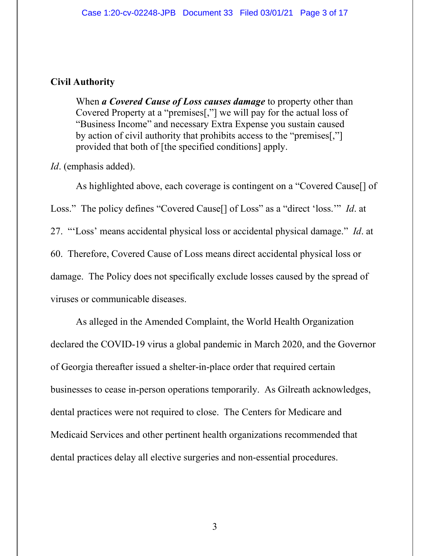### **Civil Authority**

When *a Covered Cause of Loss causes damage* to property other than Covered Property at a "premises[,"] we will pay for the actual loss of "Business Income" and necessary Extra Expense you sustain caused by action of civil authority that prohibits access to the "premises[,"] provided that both of [the specified conditions] apply.

*Id*. (emphasis added).

As highlighted above, each coverage is contingent on a "Covered Cause[] of Loss." The policy defines "Covered Cause[] of Loss" as a "direct 'loss.'" *Id*. at 27. "'Loss' means accidental physical loss or accidental physical damage." *Id*. at 60. Therefore, Covered Cause of Loss means direct accidental physical loss or damage. The Policy does not specifically exclude losses caused by the spread of viruses or communicable diseases.

As alleged in the Amended Complaint, the World Health Organization declared the COVID-19 virus a global pandemic in March 2020, and the Governor of Georgia thereafter issued a shelter-in-place order that required certain businesses to cease in-person operations temporarily. As Gilreath acknowledges, dental practices were not required to close. The Centers for Medicare and Medicaid Services and other pertinent health organizations recommended that dental practices delay all elective surgeries and non-essential procedures.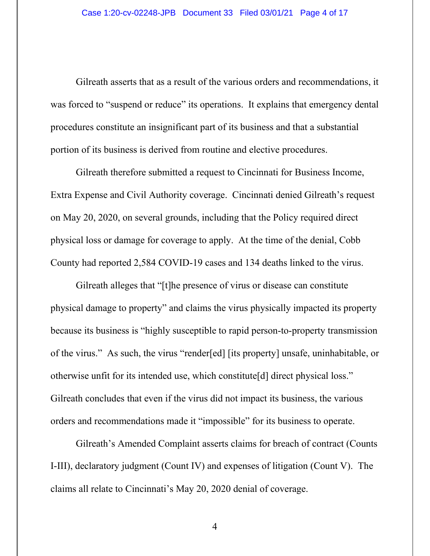Gilreath asserts that as a result of the various orders and recommendations, it was forced to "suspend or reduce" its operations. It explains that emergency dental procedures constitute an insignificant part of its business and that a substantial portion of its business is derived from routine and elective procedures.

Gilreath therefore submitted a request to Cincinnati for Business Income, Extra Expense and Civil Authority coverage. Cincinnati denied Gilreath's request on May 20, 2020, on several grounds, including that the Policy required direct physical loss or damage for coverage to apply. At the time of the denial, Cobb County had reported 2,584 COVID-19 cases and 134 deaths linked to the virus.

Gilreath alleges that "[t]he presence of virus or disease can constitute physical damage to property" and claims the virus physically impacted its property because its business is "highly susceptible to rapid person-to-property transmission of the virus." As such, the virus "render[ed] [its property] unsafe, uninhabitable, or otherwise unfit for its intended use, which constitute[d] direct physical loss." Gilreath concludes that even if the virus did not impact its business, the various orders and recommendations made it "impossible" for its business to operate.

Gilreath's Amended Complaint asserts claims for breach of contract (Counts I-III), declaratory judgment (Count IV) and expenses of litigation (Count V). The claims all relate to Cincinnati's May 20, 2020 denial of coverage.

4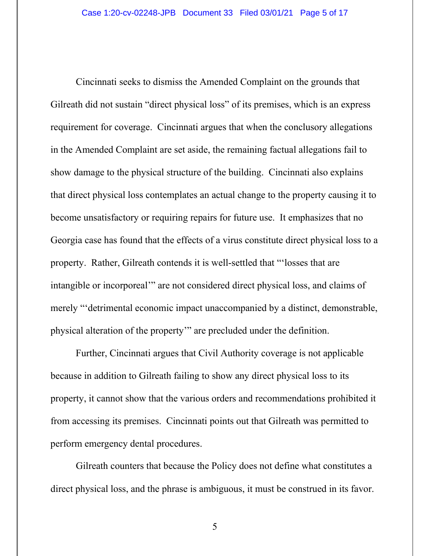Cincinnati seeks to dismiss the Amended Complaint on the grounds that Gilreath did not sustain "direct physical loss" of its premises, which is an express requirement for coverage. Cincinnati argues that when the conclusory allegations in the Amended Complaint are set aside, the remaining factual allegations fail to show damage to the physical structure of the building. Cincinnati also explains that direct physical loss contemplates an actual change to the property causing it to become unsatisfactory or requiring repairs for future use. It emphasizes that no Georgia case has found that the effects of a virus constitute direct physical loss to a property. Rather, Gilreath contends it is well-settled that "'losses that are intangible or incorporeal'" are not considered direct physical loss, and claims of merely "'detrimental economic impact unaccompanied by a distinct, demonstrable, physical alteration of the property'" are precluded under the definition.

Further, Cincinnati argues that Civil Authority coverage is not applicable because in addition to Gilreath failing to show any direct physical loss to its property, it cannot show that the various orders and recommendations prohibited it from accessing its premises. Cincinnati points out that Gilreath was permitted to perform emergency dental procedures.

Gilreath counters that because the Policy does not define what constitutes a direct physical loss, and the phrase is ambiguous, it must be construed in its favor.

5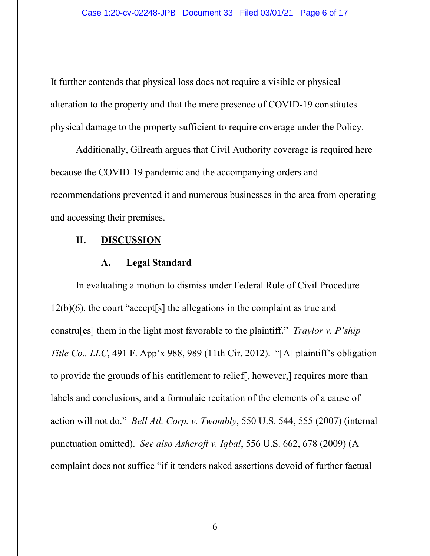It further contends that physical loss does not require a visible or physical alteration to the property and that the mere presence of COVID-19 constitutes physical damage to the property sufficient to require coverage under the Policy.

Additionally, Gilreath argues that Civil Authority coverage is required here because the COVID-19 pandemic and the accompanying orders and recommendations prevented it and numerous businesses in the area from operating and accessing their premises.

### **II. DISCUSSION**

#### **A. Legal Standard**

In evaluating a motion to dismiss under Federal Rule of Civil Procedure 12(b)(6), the court "accept[s] the allegations in the complaint as true and constru[es] them in the light most favorable to the plaintiff." *Traylor v. P'ship Title Co., LLC*, 491 F. App'x 988, 989 (11th Cir. 2012). "[A] plaintiff's obligation to provide the grounds of his entitlement to relief[, however,] requires more than labels and conclusions, and a formulaic recitation of the elements of a cause of action will not do." *Bell Atl. Corp. v. Twombly*, 550 U.S. 544, 555 (2007) (internal punctuation omitted). *See also Ashcroft v. Iqbal*, 556 U.S. 662, 678 (2009) (A complaint does not suffice "if it tenders naked assertions devoid of further factual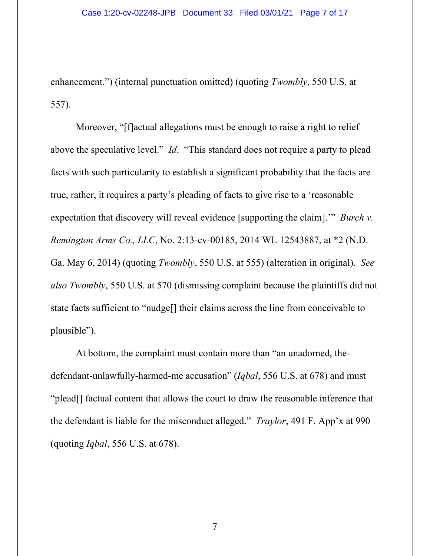enhancement.") (internal punctuation omitted) (quoting *Twombly*, 550 U.S. at 557).

Moreover, "[f]actual allegations must be enough to raise a right to relief above the speculative level." *Id*. "This standard does not require a party to plead facts with such particularity to establish a significant probability that the facts are true, rather, it requires a party's pleading of facts to give rise to a 'reasonable expectation that discovery will reveal evidence [supporting the claim].'" *Burch v. Remington Arms Co., LLC*, No. 2:13-cv-00185, 2014 WL 12543887, at \*2 (N.D. Ga. May 6, 2014) (quoting *Twombly*, 550 U.S. at 555) (alteration in original). *See also Twombly*, 550 U.S. at 570 (dismissing complaint because the plaintiffs did not state facts sufficient to "nudge[] their claims across the line from conceivable to plausible").

At bottom, the complaint must contain more than "an unadorned, thedefendant-unlawfully-harmed-me accusation" (*Iqbal*, 556 U.S. at 678) and must "plead[] factual content that allows the court to draw the reasonable inference that the defendant is liable for the misconduct alleged." *Traylor*, 491 F. App'x at 990 (quoting *Iqbal*, 556 U.S. at 678).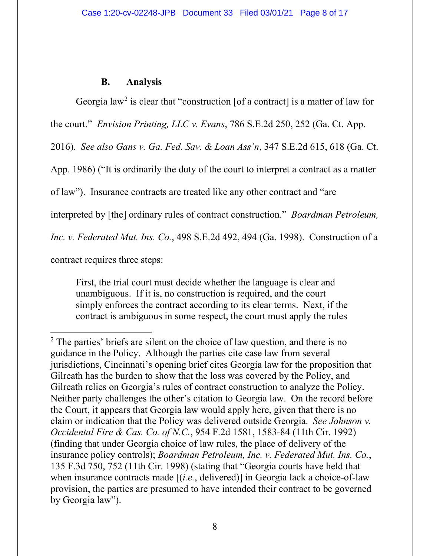## **B. Analysis**

Georgia law<sup>2</sup> is clear that "construction [of a contract] is a matter of law for the court." *Envision Printing, LLC v. Evans*, 786 S.E.2d 250, 252 (Ga. Ct. App. 2016). *See also Gans v. Ga. Fed. Sav. & Loan Ass'n*, 347 S.E.2d 615, 618 (Ga. Ct. App. 1986) ("It is ordinarily the duty of the court to interpret a contract as a matter of law"). Insurance contracts are treated like any other contract and "are interpreted by [the] ordinary rules of contract construction." *Boardman Petroleum, Inc. v. Federated Mut. Ins. Co.*, 498 S.E.2d 492, 494 (Ga. 1998). Construction of a contract requires three steps:

First, the trial court must decide whether the language is clear and unambiguous. If it is, no construction is required, and the court simply enforces the contract according to its clear terms. Next, if the contract is ambiguous in some respect, the court must apply the rules

 $2$  The parties' briefs are silent on the choice of law question, and there is no guidance in the Policy. Although the parties cite case law from several jurisdictions, Cincinnati's opening brief cites Georgia law for the proposition that Gilreath has the burden to show that the loss was covered by the Policy, and Gilreath relies on Georgia's rules of contract construction to analyze the Policy. Neither party challenges the other's citation to Georgia law. On the record before the Court, it appears that Georgia law would apply here, given that there is no claim or indication that the Policy was delivered outside Georgia. *See Johnson v. Occidental Fire & Cas. Co. of N.C.*, 954 F.2d 1581, 1583-84 (11th Cir. 1992) (finding that under Georgia choice of law rules, the place of delivery of the insurance policy controls); *Boardman Petroleum, Inc. v. Federated Mut. Ins. Co.*, 135 F.3d 750, 752 (11th Cir. 1998) (stating that "Georgia courts have held that when insurance contracts made [(*i.e.*, delivered)] in Georgia lack a choice-of-law provision, the parties are presumed to have intended their contract to be governed by Georgia law").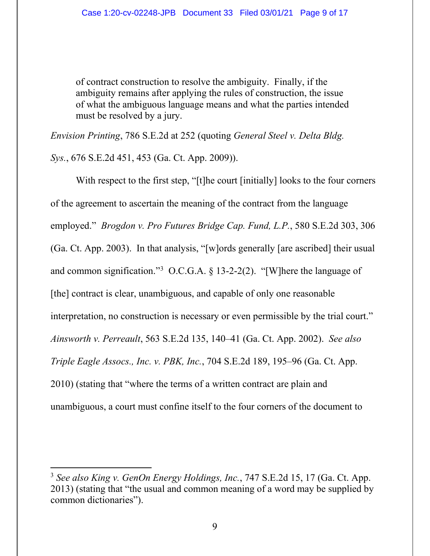of contract construction to resolve the ambiguity. Finally, if the ambiguity remains after applying the rules of construction, the issue of what the ambiguous language means and what the parties intended must be resolved by a jury.

*Envision Printing*, 786 S.E.2d at 252 (quoting *General Steel v. Delta Bldg.* 

*Sys.*, 676 S.E.2d 451, 453 (Ga. Ct. App. 2009)).

With respect to the first step, "[t]he court [initially] looks to the four corners of the agreement to ascertain the meaning of the contract from the language employed." *Brogdon v. Pro Futures Bridge Cap. Fund, L.P.*, 580 S.E.2d 303, 306 (Ga. Ct. App. 2003). In that analysis, "[w]ords generally [are ascribed] their usual and common signification."<sup>3</sup> O.C.G.A. § 13-2-2(2). "[W]here the language of [the] contract is clear, unambiguous, and capable of only one reasonable interpretation, no construction is necessary or even permissible by the trial court." *Ainsworth v. Perreault*, 563 S.E.2d 135, 140–41 (Ga. Ct. App. 2002). *See also Triple Eagle Assocs., Inc. v. PBK, Inc.*, 704 S.E.2d 189, 195–96 (Ga. Ct. App. 2010) (stating that "where the terms of a written contract are plain and unambiguous, a court must confine itself to the four corners of the document to

<sup>3</sup> *See also King v. GenOn Energy Holdings, Inc.*, 747 S.E.2d 15, 17 (Ga. Ct. App. 2013) (stating that "the usual and common meaning of a word may be supplied by common dictionaries").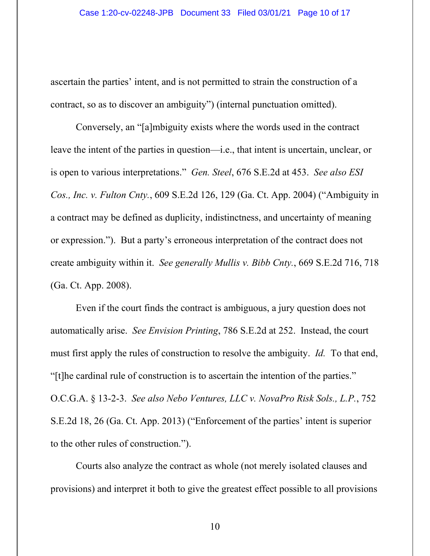ascertain the parties' intent, and is not permitted to strain the construction of a contract, so as to discover an ambiguity") (internal punctuation omitted).

Conversely, an "[a]mbiguity exists where the words used in the contract leave the intent of the parties in question—i.e., that intent is uncertain, unclear, or is open to various interpretations." *Gen. Steel*, 676 S.E.2d at 453. *See also ESI Cos., Inc. v. Fulton Cnty.*, 609 S.E.2d 126, 129 (Ga. Ct. App. 2004) ("Ambiguity in a contract may be defined as duplicity, indistinctness, and uncertainty of meaning or expression."). But a party's erroneous interpretation of the contract does not create ambiguity within it. *See generally Mullis v. Bibb Cnty.*, 669 S.E.2d 716, 718 (Ga. Ct. App. 2008).

Even if the court finds the contract is ambiguous, a jury question does not automatically arise. *See Envision Printing*, 786 S.E.2d at 252. Instead, the court must first apply the rules of construction to resolve the ambiguity. *Id.* To that end, "[t]he cardinal rule of construction is to ascertain the intention of the parties." O.C.G.A. § 13-2-3. *See also Nebo Ventures, LLC v. NovaPro Risk Sols., L.P.*, 752 S.E.2d 18, 26 (Ga. Ct. App. 2013) ("Enforcement of the parties' intent is superior to the other rules of construction.").

Courts also analyze the contract as whole (not merely isolated clauses and provisions) and interpret it both to give the greatest effect possible to all provisions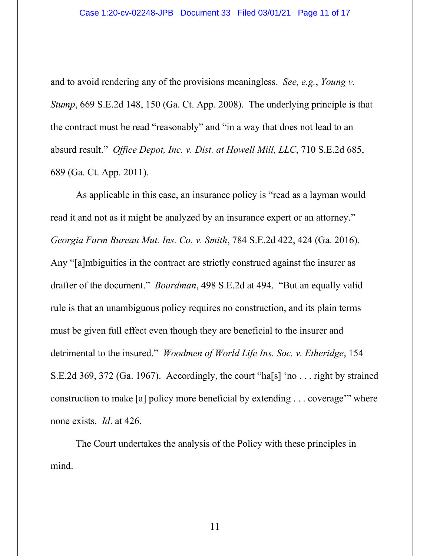and to avoid rendering any of the provisions meaningless. *See, e.g.*, *Young v. Stump*, 669 S.E.2d 148, 150 (Ga. Ct. App. 2008). The underlying principle is that the contract must be read "reasonably" and "in a way that does not lead to an absurd result." *Office Depot, Inc. v. Dist. at Howell Mill, LLC*, 710 S.E.2d 685, 689 (Ga. Ct. App. 2011).

As applicable in this case, an insurance policy is "read as a layman would read it and not as it might be analyzed by an insurance expert or an attorney." *Georgia Farm Bureau Mut. Ins. Co. v. Smith*, 784 S.E.2d 422, 424 (Ga. 2016). Any "[a]mbiguities in the contract are strictly construed against the insurer as drafter of the document." *Boardman*, 498 S.E.2d at 494. "But an equally valid rule is that an unambiguous policy requires no construction, and its plain terms must be given full effect even though they are beneficial to the insurer and detrimental to the insured." *Woodmen of World Life Ins. Soc. v. Etheridge*, 154 S.E.2d 369, 372 (Ga. 1967). Accordingly, the court "ha[s] 'no . . . right by strained construction to make [a] policy more beneficial by extending . . . coverage'" where none exists. *Id*. at 426.

The Court undertakes the analysis of the Policy with these principles in mind.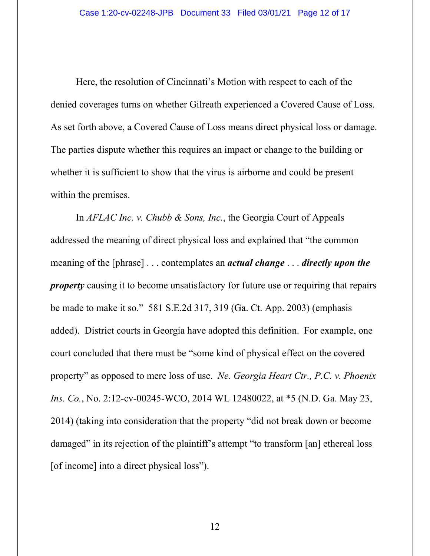Here, the resolution of Cincinnati's Motion with respect to each of the denied coverages turns on whether Gilreath experienced a Covered Cause of Loss. As set forth above, a Covered Cause of Loss means direct physical loss or damage. The parties dispute whether this requires an impact or change to the building or whether it is sufficient to show that the virus is airborne and could be present within the premises.

In *AFLAC Inc. v. Chubb & Sons, Inc.*, the Georgia Court of Appeals addressed the meaning of direct physical loss and explained that "the common meaning of the [phrase] . . . contemplates an *actual change* . . . *directly upon the property* causing it to become unsatisfactory for future use or requiring that repairs be made to make it so." 581 S.E.2d 317, 319 (Ga. Ct. App. 2003) (emphasis added). District courts in Georgia have adopted this definition. For example, one court concluded that there must be "some kind of physical effect on the covered property" as opposed to mere loss of use. *Ne. Georgia Heart Ctr., P.C. v. Phoenix Ins. Co.*, No. 2:12-cv-00245-WCO, 2014 WL 12480022, at \*5 (N.D. Ga. May 23, 2014) (taking into consideration that the property "did not break down or become damaged" in its rejection of the plaintiff's attempt "to transform [an] ethereal loss [of income] into a direct physical loss").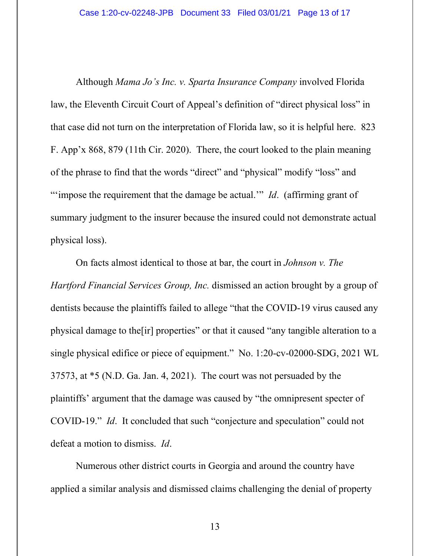Although *Mama Jo's Inc. v. Sparta Insurance Company* involved Florida law, the Eleventh Circuit Court of Appeal's definition of "direct physical loss" in that case did not turn on the interpretation of Florida law, so it is helpful here. 823 F. App'x 868, 879 (11th Cir. 2020). There, the court looked to the plain meaning of the phrase to find that the words "direct" and "physical" modify "loss" and "'impose the requirement that the damage be actual." *Id.* (affirming grant of summary judgment to the insurer because the insured could not demonstrate actual physical loss).

On facts almost identical to those at bar, the court in *Johnson v. The Hartford Financial Services Group, Inc.* dismissed an action brought by a group of dentists because the plaintiffs failed to allege "that the COVID-19 virus caused any physical damage to the[ir] properties" or that it caused "any tangible alteration to a single physical edifice or piece of equipment." No. 1:20-cv-02000-SDG, 2021 WL 37573, at \*5 (N.D. Ga. Jan. 4, 2021). The court was not persuaded by the plaintiffs' argument that the damage was caused by "the omnipresent specter of COVID-19." *Id*. It concluded that such "conjecture and speculation" could not defeat a motion to dismiss. *Id*.

Numerous other district courts in Georgia and around the country have applied a similar analysis and dismissed claims challenging the denial of property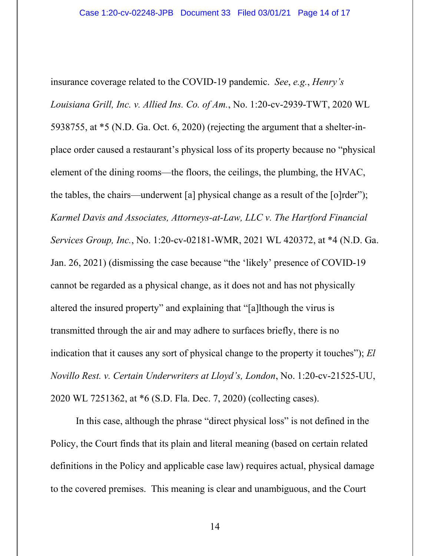insurance coverage related to the COVID-19 pandemic. *See*, *e.g.*, *Henry's Louisiana Grill, Inc. v. Allied Ins. Co. of Am.*, No. 1:20-cv-2939-TWT, 2020 WL 5938755, at \*5 (N.D. Ga. Oct. 6, 2020) (rejecting the argument that a shelter-inplace order caused a restaurant's physical loss of its property because no "physical element of the dining rooms—the floors, the ceilings, the plumbing, the HVAC, the tables, the chairs—underwent [a] physical change as a result of the [o]rder"); *Karmel Davis and Associates, Attorneys-at-Law, LLC v. The Hartford Financial Services Group, Inc.*, No. 1:20-cv-02181-WMR, 2021 WL 420372, at \*4 (N.D. Ga. Jan. 26, 2021) (dismissing the case because "the 'likely' presence of COVID-19 cannot be regarded as a physical change, as it does not and has not physically altered the insured property" and explaining that "[a]lthough the virus is transmitted through the air and may adhere to surfaces briefly, there is no indication that it causes any sort of physical change to the property it touches"); *El Novillo Rest. v. Certain Underwriters at Lloyd's, London*, No. 1:20-cv-21525-UU, 2020 WL 7251362, at \*6 (S.D. Fla. Dec. 7, 2020) (collecting cases).

In this case, although the phrase "direct physical loss" is not defined in the Policy, the Court finds that its plain and literal meaning (based on certain related definitions in the Policy and applicable case law) requires actual, physical damage to the covered premises. This meaning is clear and unambiguous, and the Court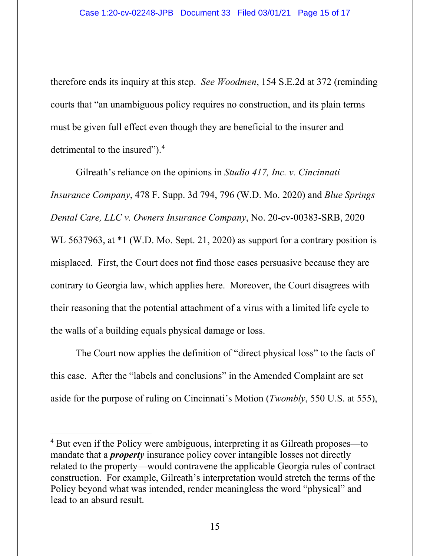therefore ends its inquiry at this step. *See Woodmen*, 154 S.E.2d at 372 (reminding courts that "an unambiguous policy requires no construction, and its plain terms must be given full effect even though they are beneficial to the insurer and detrimental to the insured").<sup>4</sup>

Gilreath's reliance on the opinions in *Studio 417, Inc. v. Cincinnati Insurance Company*, 478 F. Supp. 3d 794, 796 (W.D. Mo. 2020) and *Blue Springs Dental Care, LLC v. Owners Insurance Company*, No. 20-cv-00383-SRB, 2020 WL 5637963, at  $*1$  (W.D. Mo. Sept. 21, 2020) as support for a contrary position is misplaced. First, the Court does not find those cases persuasive because they are contrary to Georgia law, which applies here. Moreover, the Court disagrees with their reasoning that the potential attachment of a virus with a limited life cycle to the walls of a building equals physical damage or loss.

The Court now applies the definition of "direct physical loss" to the facts of this case. After the "labels and conclusions" in the Amended Complaint are set aside for the purpose of ruling on Cincinnati's Motion (*Twombly*, 550 U.S. at 555),

<sup>&</sup>lt;sup>4</sup> But even if the Policy were ambiguous, interpreting it as Gilreath proposes—to mandate that a *property* insurance policy cover intangible losses not directly related to the property—would contravene the applicable Georgia rules of contract construction. For example, Gilreath's interpretation would stretch the terms of the Policy beyond what was intended, render meaningless the word "physical" and lead to an absurd result.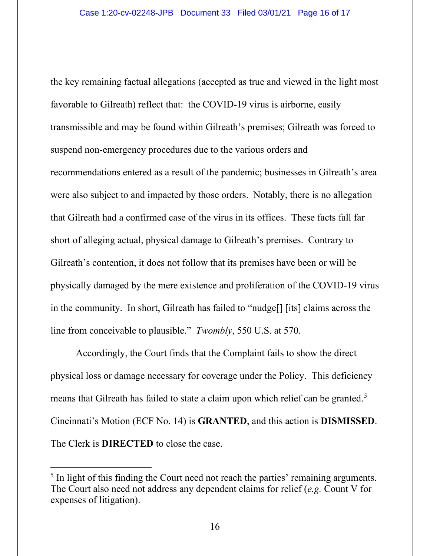the key remaining factual allegations (accepted as true and viewed in the light most favorable to Gilreath) reflect that: the COVID-19 virus is airborne, easily transmissible and may be found within Gilreath's premises; Gilreath was forced to suspend non-emergency procedures due to the various orders and recommendations entered as a result of the pandemic; businesses in Gilreath's area were also subject to and impacted by those orders. Notably, there is no allegation that Gilreath had a confirmed case of the virus in its offices. These facts fall far short of alleging actual, physical damage to Gilreath's premises. Contrary to Gilreath's contention, it does not follow that its premises have been or will be physically damaged by the mere existence and proliferation of the COVID-19 virus in the community. In short, Gilreath has failed to "nudge[] [its] claims across the line from conceivable to plausible." *Twombly*, 550 U.S. at 570.

Accordingly, the Court finds that the Complaint fails to show the direct physical loss or damage necessary for coverage under the Policy. This deficiency means that Gilreath has failed to state a claim upon which relief can be granted.<sup>5</sup> Cincinnati's Motion (ECF No. 14) is **GRANTED**, and this action is **DISMISSED**. The Clerk is **DIRECTED** to close the case.

<sup>&</sup>lt;sup>5</sup> In light of this finding the Court need not reach the parties' remaining arguments. The Court also need not address any dependent claims for relief (*e.g.* Count V for expenses of litigation).